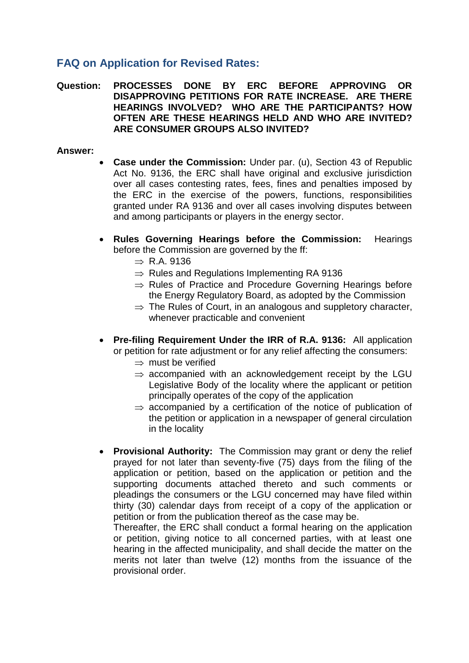## **FAQ on Application for Revised Rates:**

**Question: PROCESSES DONE BY ERC BEFORE APPROVING OR DISAPPROVING PETITIONS FOR RATE INCREASE. ARE THERE HEARINGS INVOLVED? WHO ARE THE PARTICIPANTS? HOW OFTEN ARE THESE HEARINGS HELD AND WHO ARE INVITED? ARE CONSUMER GROUPS ALSO INVITED?**

## **Answer:**

- **Case under the Commission:** Under par. (u), Section 43 of Republic Act No. 9136, the ERC shall have original and exclusive jurisdiction over all cases contesting rates, fees, fines and penalties imposed by the ERC in the exercise of the powers, functions, responsibilities granted under RA 9136 and over all cases involving disputes between and among participants or players in the energy sector.
- **Rules Governing Hearings before the Commission:** Hearings before the Commission are governed by the ff:
	- $\Rightarrow$  R.A. 9136
	- $\Rightarrow$  Rules and Regulations Implementing RA 9136
	- $\Rightarrow$  Rules of Practice and Procedure Governing Hearings before the Energy Regulatory Board, as adopted by the Commission
	- $\Rightarrow$  The Rules of Court, in an analogous and suppletory character, whenever practicable and convenient
- **Pre-filing Requirement Under the IRR of R.A. 9136:** All application or petition for rate adjustment or for any relief affecting the consumers:
	- $\Rightarrow$  must be verified
	- $\Rightarrow$  accompanied with an acknowledgement receipt by the LGU Legislative Body of the locality where the applicant or petition principally operates of the copy of the application
	- $\Rightarrow$  accompanied by a certification of the notice of publication of the petition or application in a newspaper of general circulation in the locality
- **Provisional Authority:** The Commission may grant or deny the relief prayed for not later than seventy-five (75) days from the filing of the application or petition, based on the application or petition and the supporting documents attached thereto and such comments or pleadings the consumers or the LGU concerned may have filed within thirty (30) calendar days from receipt of a copy of the application or petition or from the publication thereof as the case may be.

Thereafter, the ERC shall conduct a formal hearing on the application or petition, giving notice to all concerned parties, with at least one hearing in the affected municipality, and shall decide the matter on the merits not later than twelve (12) months from the issuance of the provisional order.